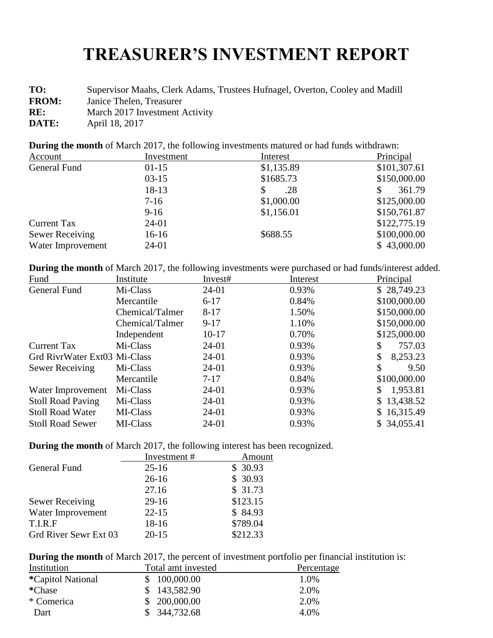## **TREASURER'S INVESTMENT REPORT**

**TO:** Supervisor Maahs, Clerk Adams, Trustees Hufnagel, Overton, Cooley and Madill

**FROM:** Janice Thelen, Treasurer

**RE:** March 2017 Investment Activity

**DATE:** April 18, 2017

**During the month** of March 2017, the following investments matured or had funds withdrawn:

| Account                | Investment | Interest   | Principal    |
|------------------------|------------|------------|--------------|
| General Fund           | $01-15$    | \$1,135.89 | \$101,307.61 |
|                        | $03-15$    | \$1685.73  | \$150,000.00 |
|                        | 18-13      | .28<br>S   | 361.79       |
|                        | $7-16$     | \$1,000.00 | \$125,000.00 |
|                        | $9-16$     | \$1,156.01 | \$150,761.87 |
| <b>Current Tax</b>     | 24-01      |            | \$122,775.19 |
| <b>Sewer Receiving</b> | $16-16$    | \$688.55   | \$100,000.00 |
| Water Improvement      | 24-01      |            | \$43,000.00  |

**During the month** of March 2017, the following investments were purchased or had funds/interest added.

| Institute                    | Invest#   | Interest | Principal     |
|------------------------------|-----------|----------|---------------|
| Mi-Class                     | $24-01$   | 0.93%    | \$28,749.23   |
| Mercantile                   | $6 - 17$  | 0.84%    | \$100,000.00  |
| Chemical/Talmer              | $8 - 17$  | 1.50%    | \$150,000.00  |
| Chemical/Talmer              | $9 - 17$  | 1.10%    | \$150,000.00  |
| Independent                  | $10 - 17$ | 0.70%    | \$125,000.00  |
| Mi-Class                     | $24-01$   | 0.93%    | 757.03        |
| Grd RivrWater Ext03 Mi-Class | $24-01$   | 0.93%    | 8,253.23      |
| Mi-Class                     | 24-01     | 0.93%    | \$<br>9.50    |
| Mercantile                   | $7 - 17$  | 0.84%    | \$100,000.00  |
| Mi-Class                     | 24-01     | 0.93%    | 1,953.81<br>S |
| Mi-Class                     | $24-01$   | 0.93%    | \$13,438.52   |
| MI-Class                     | $24-01$   | 0.93%    | \$16,315.49   |
| MI-Class                     | 24-01     | 0.93%    | \$34,055.41   |
|                              |           |          |               |

**During the month** of March 2017, the following interest has been recognized.

|                        | Investment# | Amount   |
|------------------------|-------------|----------|
| General Fund           | $25 - 16$   | \$30.93  |
|                        | $26 - 16$   | \$30.93  |
|                        | 27.16       | \$31.73  |
| <b>Sewer Receiving</b> | $29-16$     | \$123.15 |
| Water Improvement      | $22 - 15$   | \$84.93  |
| T.I.R.F                | $18-16$     | \$789.04 |
| Grd River Sewr Ext 03  | $20 - 15$   | \$212.33 |

**During the month** of March 2017, the percent of investment portfolio per financial institution is:

| Institution               | Total amt invested | Percentage |
|---------------------------|--------------------|------------|
| <i>*</i> Capitol National | \$100,000.00       | 1.0%       |
| *Chase                    | \$143,582.90       | 2.0%       |
| * Comerica                | \$200,000.00       | 2.0%       |
| Dart                      | \$344,732.68       | 4.0%       |